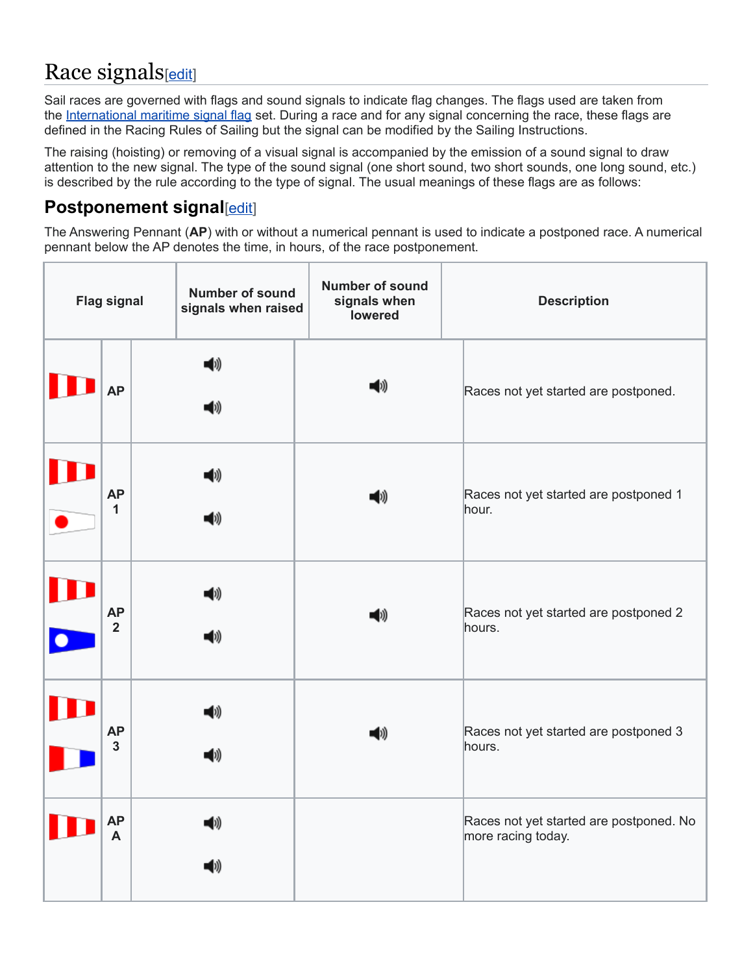# Race signals[\[edit\]](https://en.wikipedia.org/w/index.php?title=Racing_Rules_of_Sailing&action=edit§ion=2)

Sail races are governed with flags and sound signals to indicate flag changes. The flags used are taken from the [International maritime signal flag](https://en.wikipedia.org/wiki/International_maritime_signal_flags) set. During a race and for any signal concerning the race, these flags are defined in the Racing Rules of Sailing but the signal can be modified by the Sailing Instructions.

The raising (hoisting) or removing of a visual signal is accompanied by the emission of a sound signal to draw attention to the new signal. The type of the sound signal (one short sound, two short sounds, one long sound, etc.) is described by the rule according to the type of signal. The usual meanings of these flags are as follows:

#### **Postponement signal**[\[edit\]](https://en.wikipedia.org/w/index.php?title=Racing_Rules_of_Sailing&action=edit§ion=3)

The Answering Pennant (**AP**) with or without a numerical pennant is used to indicate a postponed race. A numerical pennant below the AP denotes the time, in hours, of the race postponement.

| <b>Flag signal</b> |                             |           | <b>Number of sound</b><br>signals when raised | <b>Number of sound</b><br>signals when<br>lowered    | <b>Description</b>                                            |
|--------------------|-----------------------------|-----------|-----------------------------------------------|------------------------------------------------------|---------------------------------------------------------------|
|                    | <b>AP</b>                   | -0)<br>◀» |                                               | ◀ッ                                                   | Races not yet started are postponed.                          |
|                    | <b>AP</b><br>1              | 1)<br>41) |                                               | Races not yet started are postponed 1<br>◀ッ<br>hour. |                                                               |
|                    | <b>AP</b><br>$\overline{2}$ |           | ◀»<br>◀)                                      | ◀ッ                                                   | Races not yet started are postponed 2<br>hours.               |
|                    | <b>AP</b><br>$\overline{3}$ |           | 4))<br>◀ッ                                     | ◀ッ                                                   | Races not yet started are postponed 3<br>hours.               |
|                    | <b>AP</b><br>A              |           | 4)<br>◀»                                      |                                                      | Races not yet started are postponed. No<br>more racing today. |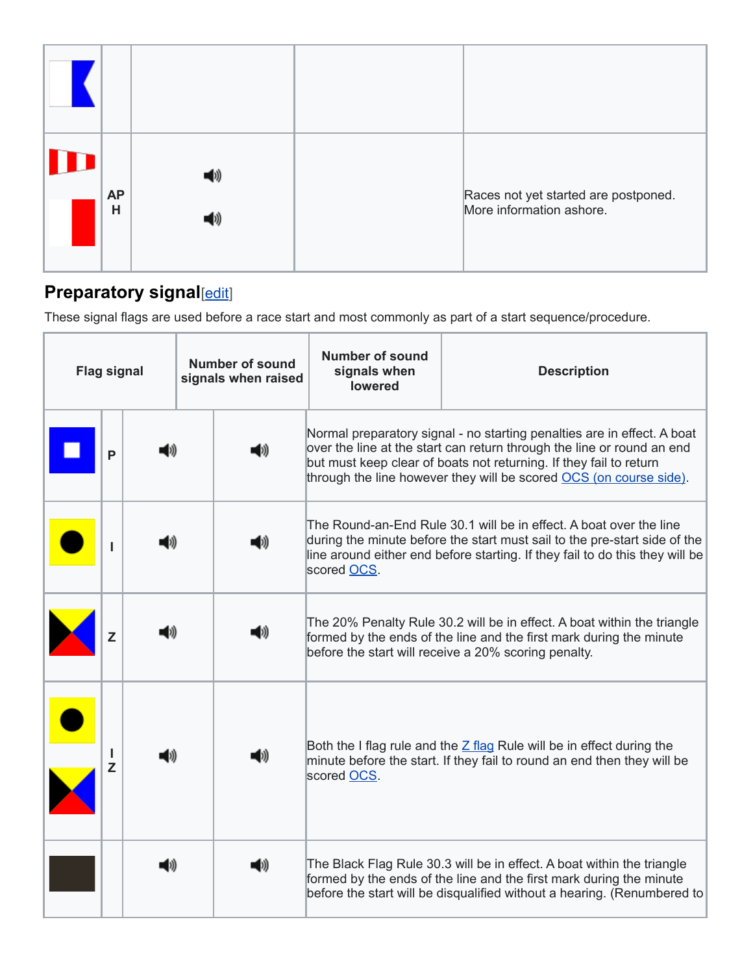| <b>AP</b><br>Н |  | Races not yet started are postponed.<br>More information ashore. |
|----------------|--|------------------------------------------------------------------|

#### **Preparatory signal**[\[edit\]](https://en.wikipedia.org/w/index.php?title=Racing_Rules_of_Sailing&action=edit§ion=4)

These signal flags are used before a race start and most commonly as part of a start sequence/procedure.

| <b>Flag signal</b> |         |  | Number of sound<br>signals when raised |                                                                                                                                                                                                        | <b>Number of sound</b><br>signals when<br><b>lowered</b>                                                                                                                                                                                                                                      | <b>Description</b>                                                                                                                                                                                                       |
|--------------------|---------|--|----------------------------------------|--------------------------------------------------------------------------------------------------------------------------------------------------------------------------------------------------------|-----------------------------------------------------------------------------------------------------------------------------------------------------------------------------------------------------------------------------------------------------------------------------------------------|--------------------------------------------------------------------------------------------------------------------------------------------------------------------------------------------------------------------------|
|                    | P       |  |                                        | O))                                                                                                                                                                                                    | Normal preparatory signal - no starting penalties are in effect. A boat<br>over the line at the start can return through the line or round an end<br>but must keep clear of boats not returning. If they fail to return<br>through the line however they will be scored OCS (on course side). |                                                                                                                                                                                                                          |
|                    |         |  |                                        |                                                                                                                                                                                                        | The Round-an-End Rule 30.1 will be in effect. A boat over the line<br>during the minute before the start must sail to the pre-start side of the<br>line around either end before starting. If they fail to do this they will be<br>scored OCS.                                                |                                                                                                                                                                                                                          |
|                    | Z       |  |                                        | The 20% Penalty Rule 30.2 will be in effect. A boat within the triangle<br>formed by the ends of the line and the first mark during the minute<br>before the start will receive a 20% scoring penalty. |                                                                                                                                                                                                                                                                                               |                                                                                                                                                                                                                          |
|                    | J.<br>Z |  |                                        |                                                                                                                                                                                                        | Both the I flag rule and the $Z$ flag Rule will be in effect during the<br>minute before the start. If they fail to round an end then they will be<br>scored OCS.                                                                                                                             |                                                                                                                                                                                                                          |
|                    |         |  |                                        |                                                                                                                                                                                                        |                                                                                                                                                                                                                                                                                               | The Black Flag Rule 30.3 will be in effect. A boat within the triangle<br>formed by the ends of the line and the first mark during the minute<br>before the start will be disqualified without a hearing. (Renumbered to |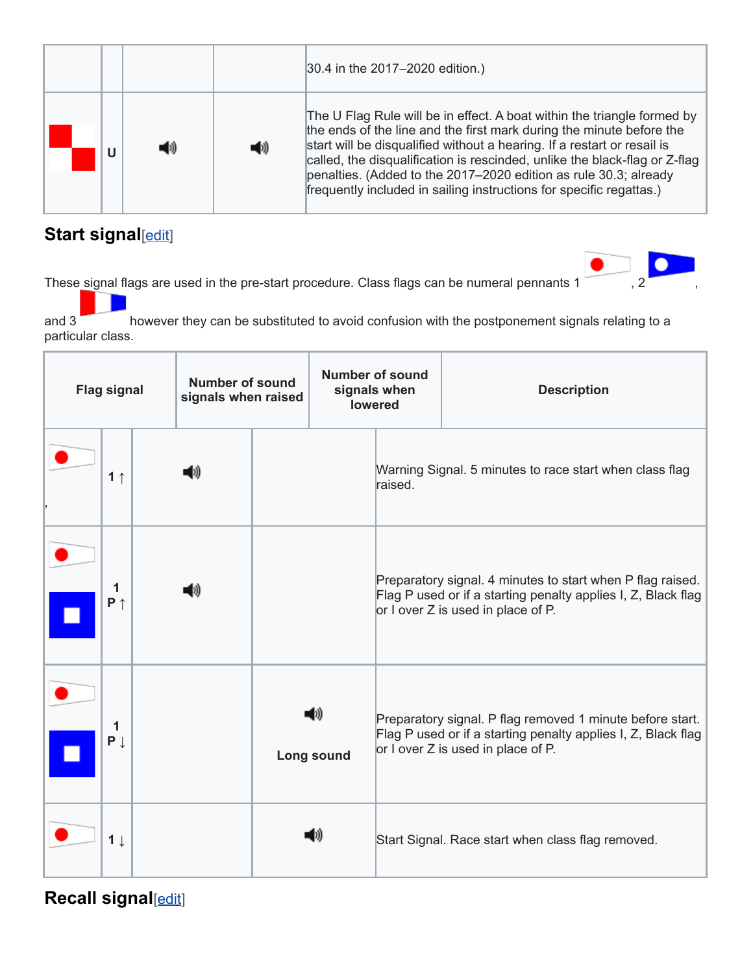|   |     |     | 30.4 in the 2017-2020 edition.)                                                                                                                                                                                                                                                                                                                                                                                                                     |
|---|-----|-----|-----------------------------------------------------------------------------------------------------------------------------------------------------------------------------------------------------------------------------------------------------------------------------------------------------------------------------------------------------------------------------------------------------------------------------------------------------|
| U | D)) | (D) | The U Flag Rule will be in effect. A boat within the triangle formed by<br>the ends of the line and the first mark during the minute before the<br>start will be disqualified without a hearing. If a restart or resail is<br>called, the disqualification is rescinded, unlike the black-flag or Z-flag<br>penalties. (Added to the 2017-2020 edition as rule 30.3; already<br>frequently included in sailing instructions for specific regattas.) |

### **Start signal**[\[edit\]](https://en.wikipedia.org/w/index.php?title=Racing_Rules_of_Sailing&action=edit§ion=5)

These signal flags are used in the pre-start procedure. Class flags can be numeral pennants 1 , 2

and 3 however they can be substituted to avoid confusion with the postponement signals relating to a particular class.

| <b>Flag signal</b> |                     |  | <b>Number of sound</b><br>signals when raised |  | <b>Number of sound</b><br>signals when<br><b>lowered</b> |         | <b>Description</b>                                                                                                                                                |
|--------------------|---------------------|--|-----------------------------------------------|--|----------------------------------------------------------|---------|-------------------------------------------------------------------------------------------------------------------------------------------------------------------|
|                    | 1 <sub>1</sub>      |  |                                               |  |                                                          | raised. | Warning Signal. 5 minutes to race start when class flag                                                                                                           |
|                    | 1<br>$P \uparrow$   |  |                                               |  |                                                          |         | Preparatory signal. 4 minutes to start when P flag raised.<br>Flag P used or if a starting penalty applies I, Z, Black flag<br>or I over Z is used in place of P. |
|                    | 1<br>$P \downarrow$ |  |                                               |  | 41))<br>Long sound                                       |         | Preparatory signal. P flag removed 1 minute before start.<br>Flag P used or if a starting penalty applies I, Z, Black flag<br>or I over Z is used in place of P.  |
|                    | $1 \downarrow$      |  |                                               |  | 1))                                                      |         | Start Signal. Race start when class flag removed.                                                                                                                 |

**Recall signal**[\[edit\]](https://en.wikipedia.org/w/index.php?title=Racing_Rules_of_Sailing&action=edit§ion=6)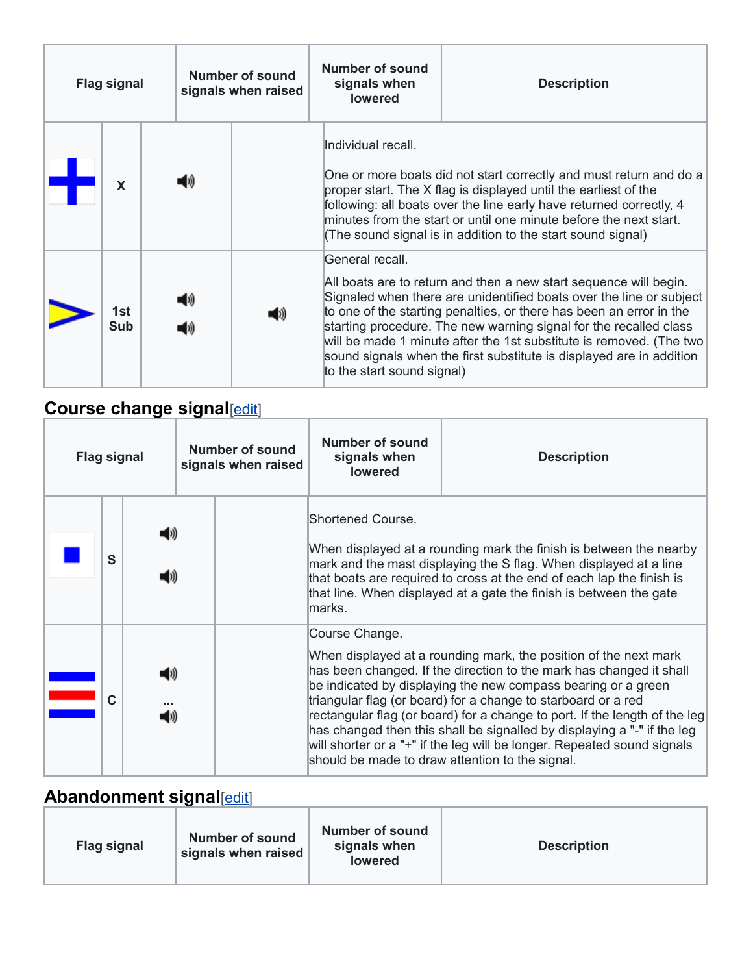| <b>Flag signal</b> |            | Number of sound<br>signals when raised |  | <b>Number of sound</b><br>signals when<br><b>Description</b><br><b>lowered</b> |                                                                                                                                                                                                                                                                                                                                                                                                                                                                                      |  |
|--------------------|------------|----------------------------------------|--|--------------------------------------------------------------------------------|--------------------------------------------------------------------------------------------------------------------------------------------------------------------------------------------------------------------------------------------------------------------------------------------------------------------------------------------------------------------------------------------------------------------------------------------------------------------------------------|--|
|                    | X          |                                        |  |                                                                                | lIndividual recall.<br>One or more boats did not start correctly and must return and do a<br>proper start. The X flag is displayed until the earliest of the<br>following: all boats over the line early have returned correctly, 4<br>minutes from the start or until one minute before the next start.<br>(The sound signal is in addition to the start sound signal)                                                                                                              |  |
|                    | 1st<br>Sub |                                        |  | 41)                                                                            | General recall.<br>All boats are to return and then a new start sequence will begin.<br>Signaled when there are unidentified boats over the line or subject<br>to one of the starting penalties, or there has been an error in the<br>starting procedure. The new warning signal for the recalled class<br>will be made 1 minute after the 1st substitute is removed. (The two<br>sound signals when the first substitute is displayed are in addition<br>to the start sound signal) |  |

## **Course change signal**[\[edit\]](https://en.wikipedia.org/w/index.php?title=Racing_Rules_of_Sailing&action=edit§ion=7)

| <b>Flag signal</b> |   |  | <b>Number of sound</b><br>signals when raised | <b>Number of sound</b><br>signals when<br><b>lowered</b> | <b>Description</b>                                                                                                                                                                                                                                                                                                                                                                                                                                                                                                                                               |
|--------------------|---|--|-----------------------------------------------|----------------------------------------------------------|------------------------------------------------------------------------------------------------------------------------------------------------------------------------------------------------------------------------------------------------------------------------------------------------------------------------------------------------------------------------------------------------------------------------------------------------------------------------------------------------------------------------------------------------------------------|
|                    | S |  |                                               | Shortened Course.<br>lmarks.                             | When displayed at a rounding mark the finish is between the nearby<br>mark and the mast displaying the S flag. When displayed at a line<br>that boats are required to cross at the end of each lap the finish is<br>that line. When displayed at a gate the finish is between the gate                                                                                                                                                                                                                                                                           |
|                    |   |  |                                               | Course Change.                                           | When displayed at a rounding mark, the position of the next mark<br>has been changed. If the direction to the mark has changed it shall<br>be indicated by displaying the new compass bearing or a green<br>triangular flag (or board) for a change to starboard or a red<br>rectangular flag (or board) for a change to port. If the length of the leg<br>has changed then this shall be signalled by displaying a "-" if the leg<br>will shorter or a "+" if the leg will be longer. Repeated sound signals<br>should be made to draw attention to the signal. |

### **Abandonment signal**[\[edit\]](https://en.wikipedia.org/w/index.php?title=Racing_Rules_of_Sailing&action=edit§ion=8)

| <b>Flag signal</b> | <b>Number of sound</b><br>signals when raised | Number of sound<br>signals when<br><b>lowered</b> | <b>Description</b> |
|--------------------|-----------------------------------------------|---------------------------------------------------|--------------------|
|--------------------|-----------------------------------------------|---------------------------------------------------|--------------------|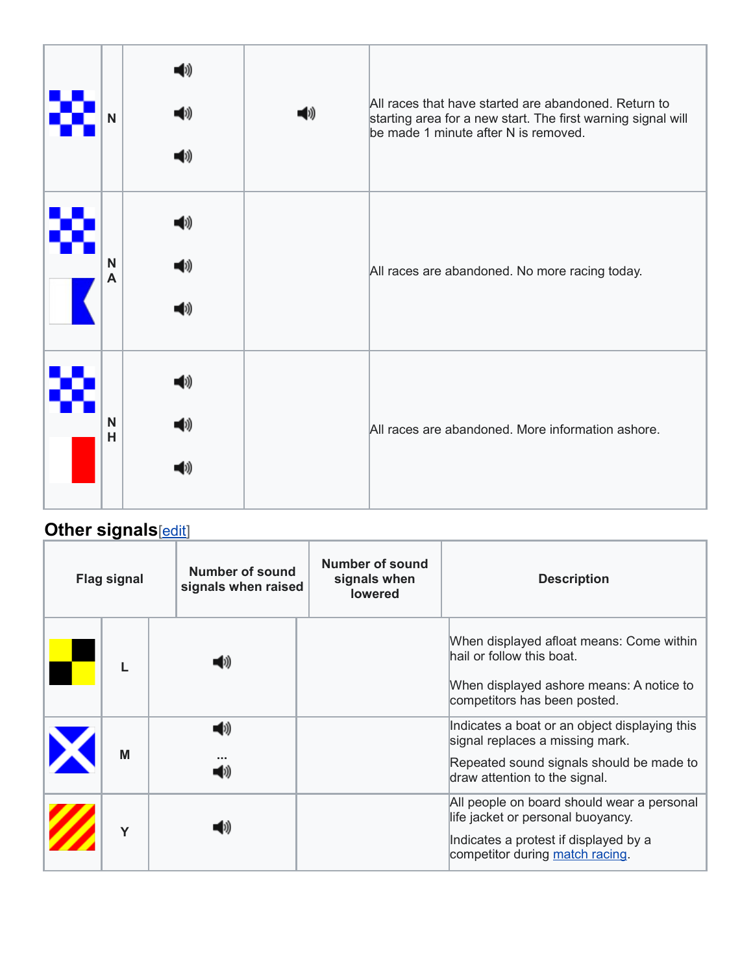| N      | 1»<br>1))<br>41)    | (b)) | All races that have started are abandoned. Return to<br>starting area for a new start. The first warning signal will<br>be made 1 minute after N is removed. |
|--------|---------------------|------|--------------------------------------------------------------------------------------------------------------------------------------------------------------|
| N<br>A | (1))<br>O))<br>(1)) |      | All races are abandoned. No more racing today.                                                                                                               |
| N<br>H | 1))<br>41)          |      | All races are abandoned. More information ashore.                                                                                                            |

## **Other signals**[\[edit\]](https://en.wikipedia.org/w/index.php?title=Racing_Rules_of_Sailing&action=edit§ion=9)

| <b>Flag signal</b> | Number of sound<br>signals when raised | <b>Number of sound</b><br>signals when<br><b>lowered</b> | <b>Description</b>                                                                                                                                            |
|--------------------|----------------------------------------|----------------------------------------------------------|---------------------------------------------------------------------------------------------------------------------------------------------------------------|
|                    |                                        |                                                          | When displayed afloat means: Come within<br>hail or follow this boat.<br>When displayed ashore means: A notice to<br>competitors has been posted.             |
| M                  | (1)                                    |                                                          | Indicates a boat or an object displaying this<br>signal replaces a missing mark.<br>Repeated sound signals should be made to<br>draw attention to the signal. |
| Y                  |                                        |                                                          | All people on board should wear a personal<br>life jacket or personal buoyancy.<br>Indicates a protest if displayed by a<br>competitor during match racing.   |